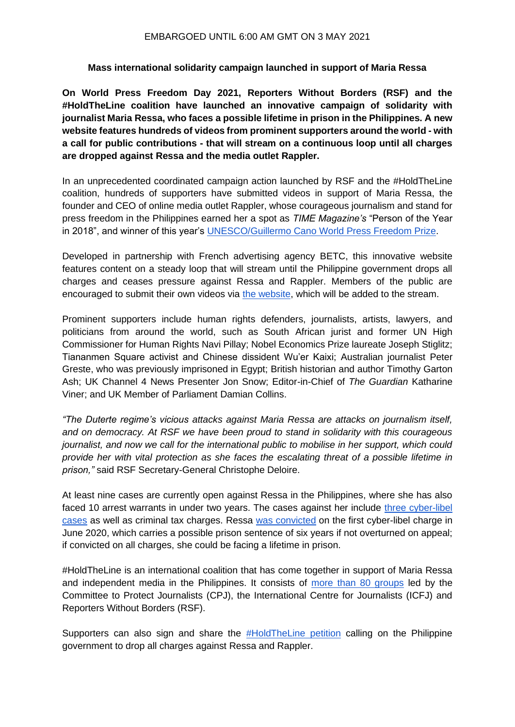## **Mass international solidarity campaign launched in support of Maria Ressa**

**On World Press Freedom Day 2021, Reporters Without Borders (RSF) and the #HoldTheLine coalition have launched an innovative campaign of solidarity with journalist Maria Ressa, who faces a possible lifetime in prison in the Philippines. A new website features hundreds of videos from prominent supporters around the world - with a call for public contributions - that will stream on a continuous loop until all charges are dropped against Ressa and the media outlet Rappler.**

In an unprecedented coordinated campaign action launched by RSF and the #HoldTheLine coalition, hundreds of supporters have submitted videos in support of Maria Ressa, the founder and CEO of online media outlet Rappler, whose courageous journalism and stand for press freedom in the Philippines earned her a spot as *TIME Magazine's* "Person of the Year in 2018", and winner of this year's [UNESCO/Guillermo Cano World Press Freedom Prize.](https://en.unesco.org/news/world-press-freedom-day-philippines-journalist-maria-ressa-receive-2021-unescoguillermo-cano)

Developed in partnership with French advertising agency BETC, this innovative website features content on a steady loop that will stream until the Philippine government drops all charges and ceases pressure against Ressa and Rappler. Members of the public are encouraged to submit their own videos via [the website,](http://www.holdthelineformariaressa.com/) which will be added to the stream.

Prominent supporters include human rights defenders, journalists, artists, lawyers, and politicians from around the world, such as South African jurist and former UN High Commissioner for Human Rights Navi Pillay; Nobel Economics Prize laureate Joseph Stiglitz; Tiananmen Square activist and Chinese dissident Wu'er Kaixi; Australian journalist Peter Greste, who was previously imprisoned in Egypt; British historian and author Timothy Garton Ash; UK Channel 4 News Presenter Jon Snow; Editor-in-Chief of *The Guardian* Katharine Viner; and UK Member of Parliament Damian Collins.

*"The Duterte regime's vicious attacks against Maria Ressa are attacks on journalism itself, and on democracy. At RSF we have been proud to stand in solidarity with this courageous journalist, and now we call for the international public to mobilise in her support, which could provide her with vital protection as she faces the escalating threat of a possible lifetime in prison,"* said RSF Secretary-General Christophe Deloire.

At least nine cases are currently open against Ressa in the Philippines, where she has also faced 10 arrest warrants in under two years. The cases against her include [three cyber-libel](https://rsf.org/en/news/holdtheline-coalition-condemns-third-criminal-cyber-libel-charge-against-maria-ressa-and-rappler)  [cases](https://rsf.org/en/news/holdtheline-coalition-condemns-third-criminal-cyber-libel-charge-against-maria-ressa-and-rappler) as well as criminal tax charges. Ressa [was convicted](https://rsf.org/en/news/dismay-over-philippine-journalist-maria-ressas-prison-sentence) on the first cyber-libel charge in June 2020, which carries a possible prison sentence of six years if not overturned on appeal; if convicted on all charges, she could be facing a lifetime in prison.

#HoldTheLine is an international coalition that has come together in support of Maria Ressa and independent media in the Philippines. It consists of [more than 80 groups](https://cpj.org/campaigns/holdtheline/) led by the Committee to Protect Journalists (CPJ), the International Centre for Journalists (ICFJ) and Reporters Without Borders (RSF).

Supporters can also sign and share the [#HoldTheLine petition](https://rsf.org/en/free-mariaressa) calling on the Philippine government to drop all charges against Ressa and Rappler.